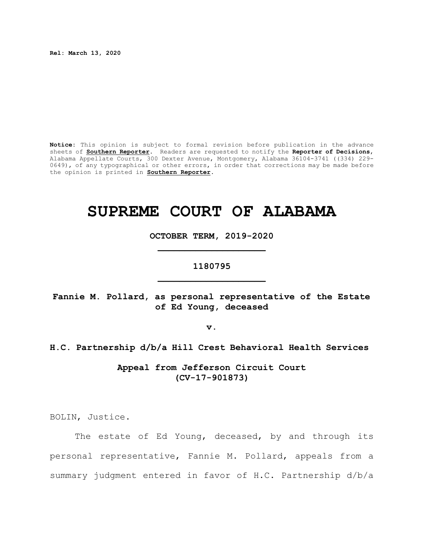**Rel: March 13, 2020**

**Notice:** This opinion is subject to formal revision before publication in the advance sheets of **Southern Reporter**. Readers are requested to notify the **Reporter of Decisions**, Alabama Appellate Courts, 300 Dexter Avenue, Montgomery, Alabama 36104-3741 ((334) 229- 0649), of any typographical or other errors, in order that corrections may be made before the opinion is printed in **Southern Reporter**.

# **SUPREME COURT OF ALABAMA**

**OCTOBER TERM, 2019-2020 \_\_\_\_\_\_\_\_\_\_\_\_\_\_\_\_\_\_\_\_**

# **1180795 \_\_\_\_\_\_\_\_\_\_\_\_\_\_\_\_\_\_\_\_**

**Fannie M. Pollard, as personal representative of the Estate of Ed Young, deceased**

**v.**

# **H.C. Partnership d/b/a Hill Crest Behavioral Health Services**

**Appeal from Jefferson Circuit Court (CV-17-901873)**

BOLIN, Justice.

The estate of Ed Young, deceased, by and through its personal representative, Fannie M. Pollard, appeals from a summary judgment entered in favor of H.C. Partnership d/b/a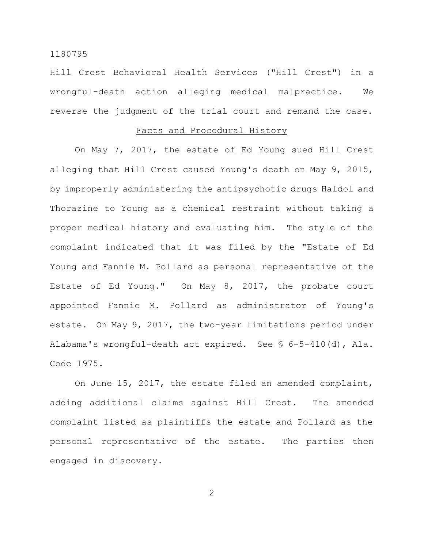Hill Crest Behavioral Health Services ("Hill Crest") in a wrongful-death action alleging medical malpractice. We reverse the judgment of the trial court and remand the case.

# Facts and Procedural History

On May 7, 2017, the estate of Ed Young sued Hill Crest alleging that Hill Crest caused Young's death on May 9, 2015, by improperly administering the antipsychotic drugs Haldol and Thorazine to Young as a chemical restraint without taking a proper medical history and evaluating him. The style of the complaint indicated that it was filed by the "Estate of Ed Young and Fannie M. Pollard as personal representative of the Estate of Ed Young." On May 8, 2017, the probate court appointed Fannie M. Pollard as administrator of Young's estate. On May 9, 2017, the two-year limitations period under Alabama's wrongful-death act expired. See § 6-5-410(d), Ala. Code 1975.

On June 15, 2017, the estate filed an amended complaint, adding additional claims against Hill Crest. The amended complaint listed as plaintiffs the estate and Pollard as the personal representative of the estate. The parties then engaged in discovery.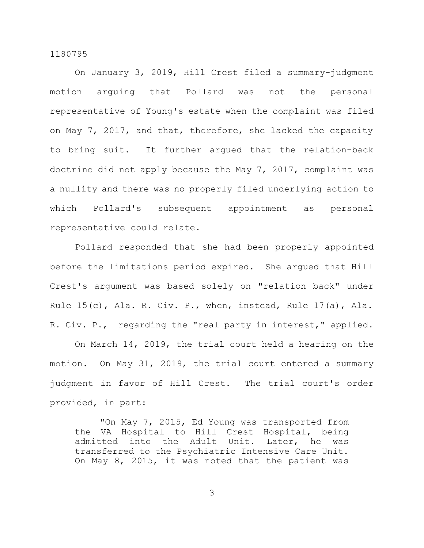On January 3, 2019, Hill Crest filed a summary-judgment motion arguing that Pollard was not the personal representative of Young's estate when the complaint was filed on May 7, 2017, and that, therefore, she lacked the capacity to bring suit. It further argued that the relation-back doctrine did not apply because the May 7, 2017, complaint was a nullity and there was no properly filed underlying action to which Pollard's subsequent appointment as personal representative could relate.

Pollard responded that she had been properly appointed before the limitations period expired. She argued that Hill Crest's argument was based solely on "relation back" under Rule 15(c), Ala. R. Civ. P., when, instead, Rule 17(a), Ala. R. Civ. P., regarding the "real party in interest," applied.

On March 14, 2019, the trial court held a hearing on the motion. On May 31, 2019, the trial court entered a summary judgment in favor of Hill Crest. The trial court's order provided, in part:

"On May 7, 2015, Ed Young was transported from the VA Hospital to Hill Crest Hospital, being admitted into the Adult Unit. Later, he was transferred to the Psychiatric Intensive Care Unit. On May 8, 2015, it was noted that the patient was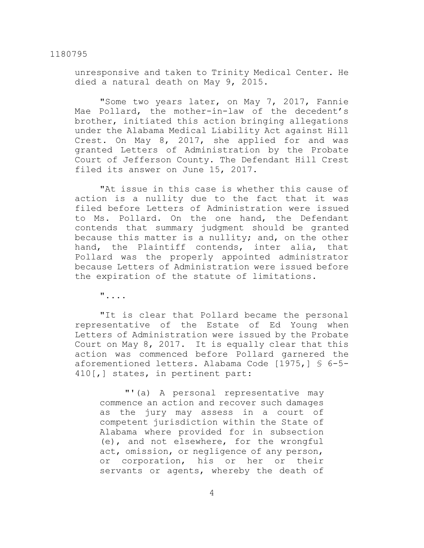unresponsive and taken to Trinity Medical Center. He died a natural death on May 9, 2015.

"Some two years later, on May 7, 2017, Fannie Mae Pollard, the mother-in-law of the decedent's brother, initiated this action bringing allegations under the Alabama Medical Liability Act against Hill Crest. On May 8, 2017, she applied for and was granted Letters of Administration by the Probate Court of Jefferson County. The Defendant Hill Crest filed its answer on June 15, 2017.

"At issue in this case is whether this cause of action is a nullity due to the fact that it was filed before Letters of Administration were issued to Ms. Pollard. On the one hand, the Defendant contends that summary judgment should be granted because this matter is a nullity; and, on the other hand, the Plaintiff contends, inter alia, that Pollard was the properly appointed administrator because Letters of Administration were issued before the expiration of the statute of limitations.

"....

"It is clear that Pollard became the personal representative of the Estate of Ed Young when Letters of Administration were issued by the Probate Court on May 8, 2017. It is equally clear that this action was commenced before Pollard garnered the aforementioned letters. Alabama Code [1975,] § 6-5- 410[,] states, in pertinent part:

"'(a) A personal representative may commence an action and recover such damages as the jury may assess in a court of competent jurisdiction within the State of Alabama where provided for in subsection (e), and not elsewhere, for the wrongful act, omission, or negligence of any person, or corporation, his or her or their servants or agents, whereby the death of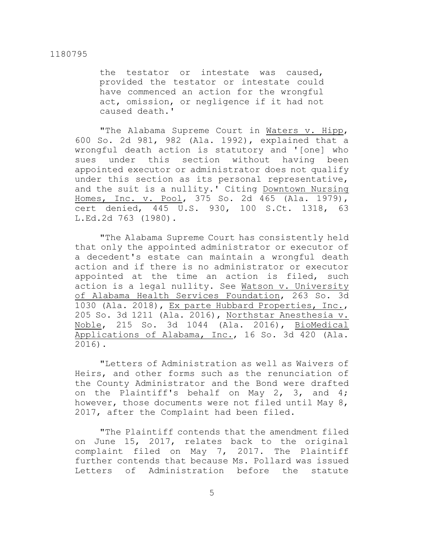the testator or intestate was caused, provided the testator or intestate could have commenced an action for the wrongful act, omission, or negligence if it had not caused death.'

"The Alabama Supreme Court in Waters v. Hipp, 600 So. 2d 981, 982 (Ala. 1992), explained that a wrongful death action is statutory and '[one] who sues under this section without having been appointed executor or administrator does not qualify under this section as its personal representative, and the suit is a nullity.' Citing Downtown Nursing Homes, Inc. v. Pool, 375 So. 2d 465 (Ala. 1979), cert denied, 445 U.S. 930, 100 S.Ct. 1318, 63 L.Ed.2d 763 (1980).

"The Alabama Supreme Court has consistently held that only the appointed administrator or executor of a decedent's estate can maintain a wrongful death action and if there is no administrator or executor appointed at the time an action is filed, such action is a legal nullity. See Watson v. University of Alabama Health Services Foundation, 263 So. 3d 1030 (Ala. 2018), Ex parte Hubbard Properties, Inc., 205 So. 3d 1211 (Ala. 2016), Northstar Anesthesia v. Noble, 215 So. 3d 1044 (Ala. 2016), BioMedical Applications of Alabama, Inc., 16 So. 3d 420 (Ala. 2016).

"Letters of Administration as well as Waivers of Heirs, and other forms such as the renunciation of the County Administrator and the Bond were drafted on the Plaintiff's behalf on May 2, 3, and 4; however, those documents were not filed until May 8, 2017, after the Complaint had been filed.

"The Plaintiff contends that the amendment filed on June 15, 2017, relates back to the original complaint filed on May 7, 2017. The Plaintiff further contends that because Ms. Pollard was issued Letters of Administration before the statute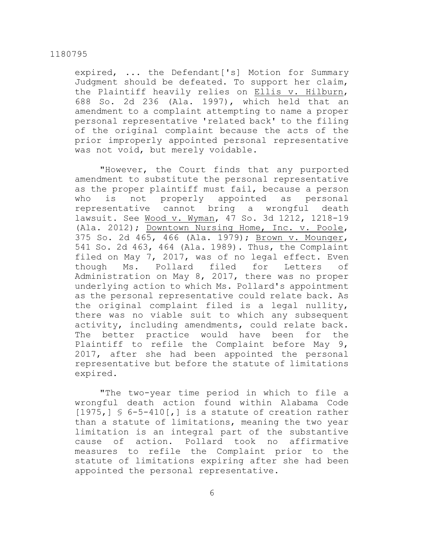expired, ... the Defendant['s] Motion for Summary Judgment should be defeated. To support her claim, the Plaintiff heavily relies on Ellis v. Hilburn, 688 So. 2d 236 (Ala. 1997), which held that an amendment to a complaint attempting to name a proper personal representative 'related back' to the filing of the original complaint because the acts of the prior improperly appointed personal representative was not void, but merely voidable.

"However, the Court finds that any purported amendment to substitute the personal representative as the proper plaintiff must fail, because a person who is not properly appointed as personal representative cannot bring a wrongful death lawsuit. See Wood v. Wyman, 47 So. 3d 1212, 1218-19 (Ala. 2012); Downtown Nursing Home, Inc. v. Poole, 375 So. 2d 465, 466 (Ala. 1979); Brown v. Mounger, 541 So. 2d 463, 464 (Ala. 1989). Thus, the Complaint filed on May 7, 2017, was of no legal effect. Even though Ms. Pollard filed for Letters of Administration on May 8, 2017, there was no proper underlying action to which Ms. Pollard's appointment as the personal representative could relate back. As the original complaint filed is a legal nullity, there was no viable suit to which any subsequent activity, including amendments, could relate back. The better practice would have been for the Plaintiff to refile the Complaint before May 9, 2017, after she had been appointed the personal representative but before the statute of limitations expired.

"The two-year time period in which to file a wrongful death action found within Alabama Code  $[1975,$ ] § 6-5-410[,] is a statute of creation rather than a statute of limitations, meaning the two year limitation is an integral part of the substantive cause of action. Pollard took no affirmative measures to refile the Complaint prior to the statute of limitations expiring after she had been appointed the personal representative.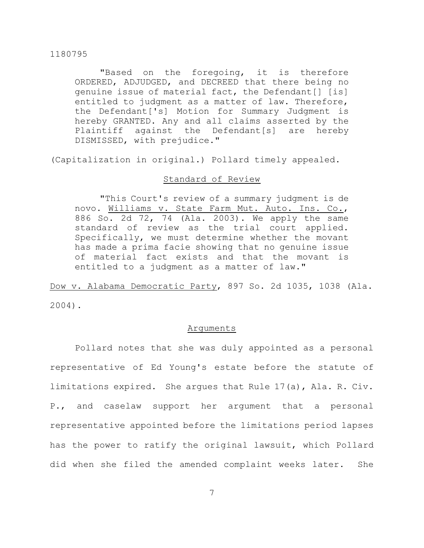"Based on the foregoing, it is therefore ORDERED, ADJUDGED, and DECREED that there being no genuine issue of material fact, the Defendant[] [is] entitled to judgment as a matter of law. Therefore, the Defendant['s] Motion for Summary Judgment is hereby GRANTED. Any and all claims asserted by the Plaintiff against the Defendant[s] are hereby DISMISSED, with prejudice."

(Capitalization in original.) Pollard timely appealed.

# Standard of Review

"This Court's review of a summary judgment is de novo. Williams v. State Farm Mut. Auto. Ins. Co., 886 So. 2d 72, 74 (Ala. 2003). We apply the same standard of review as the trial court applied. Specifically, we must determine whether the movant has made a prima facie showing that no genuine issue of material fact exists and that the movant is entitled to a judgment as a matter of law."

Dow v. Alabama Democratic Party, 897 So. 2d 1035, 1038 (Ala. 2004).

#### Arguments

Pollard notes that she was duly appointed as a personal representative of Ed Young's estate before the statute of limitations expired. She argues that Rule 17(a), Ala. R. Civ. P., and caselaw support her argument that a personal representative appointed before the limitations period lapses has the power to ratify the original lawsuit, which Pollard did when she filed the amended complaint weeks later. She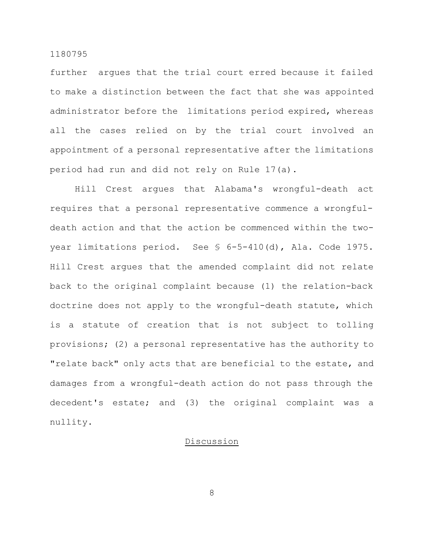further argues that the trial court erred because it failed to make a distinction between the fact that she was appointed administrator before the limitations period expired, whereas all the cases relied on by the trial court involved an appointment of a personal representative after the limitations period had run and did not rely on Rule 17(a).

Hill Crest argues that Alabama's wrongful-death act requires that a personal representative commence a wrongfuldeath action and that the action be commenced within the twoyear limitations period. See § 6-5-410(d), Ala. Code 1975. Hill Crest argues that the amended complaint did not relate back to the original complaint because (1) the relation-back doctrine does not apply to the wrongful-death statute, which is a statute of creation that is not subject to tolling provisions; (2) a personal representative has the authority to "relate back" only acts that are beneficial to the estate, and damages from a wrongful-death action do not pass through the decedent's estate; and (3) the original complaint was a nullity.

# Discussion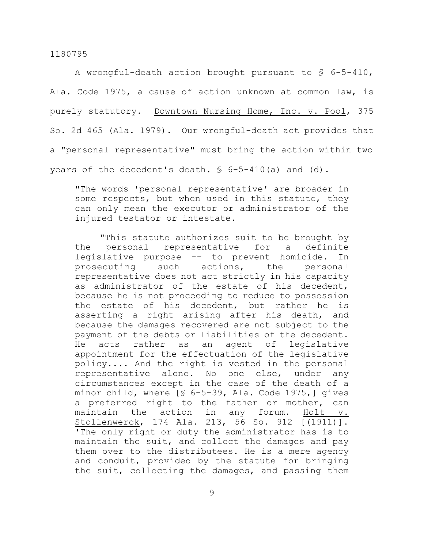A wrongful-death action brought pursuant to § 6-5-410, Ala. Code 1975, a cause of action unknown at common law, is purely statutory. Downtown Nursing Home, Inc. v. Pool, 375 So. 2d 465 (Ala. 1979). Our wrongful-death act provides that a "personal representative" must bring the action within two years of the decedent's death. § 6-5-410(a) and (d).

"The words 'personal representative' are broader in some respects, but when used in this statute, they can only mean the executor or administrator of the injured testator or intestate.

"This statute authorizes suit to be brought by the personal representative for a definite legislative purpose -- to prevent homicide. In prosecuting such actions, the personal representative does not act strictly in his capacity as administrator of the estate of his decedent, because he is not proceeding to reduce to possession the estate of his decedent, but rather he is asserting a right arising after his death, and because the damages recovered are not subject to the payment of the debts or liabilities of the decedent. He acts rather as an agent of legislative appointment for the effectuation of the legislative policy.... And the right is vested in the personal representative alone. No one else, under any circumstances except in the case of the death of a minor child, where [§ 6-5-39, Ala. Code 1975,] gives a preferred right to the father or mother, can maintain the action in any forum. Holt v. Stollenwerck, 174 Ala. 213, 56 So. 912 [(1911)]. 'The only right or duty the administrator has is to maintain the suit, and collect the damages and pay them over to the distributees. He is a mere agency and conduit, provided by the statute for bringing the suit, collecting the damages, and passing them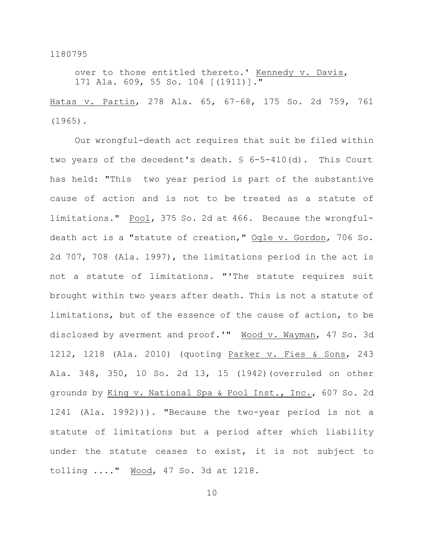over to those entitled thereto.' Kennedy v. Davis, 171 Ala. 609, 55 So. 104 [(1911)]."

Hatas v. Partin, 278 Ala. 65, 67–68, 175 So. 2d 759, 761 (1965).

Our wrongful-death act requires that suit be filed within two years of the decedent's death. § 6-5-410(d). This Court has held: "This two year period is part of the substantive cause of action and is not to be treated as a statute of limitations." Pool, 375 So. 2d at 466. Because the wrongfuldeath act is a "statute of creation," Ogle v. Gordon, 706 So. 2d 707, 708 (Ala. 1997), the limitations period in the act is not a statute of limitations. "'The statute requires suit brought within two years after death. This is not a statute of limitations, but of the essence of the cause of action, to be disclosed by averment and proof.'" Wood v. Wayman, 47 So. 3d 1212, 1218 (Ala. 2010) (quoting Parker v. Fies & Sons, 243 Ala. 348, 350, 10 So. 2d 13, 15 (1942)(overruled on other grounds by King v. National Spa & Pool Inst., Inc., 607 So. 2d 1241 (Ala. 1992))). "Because the two-year period is not a statute of limitations but a period after which liability under the statute ceases to exist, it is not subject to tolling ...." Wood, 47 So. 3d at 1218.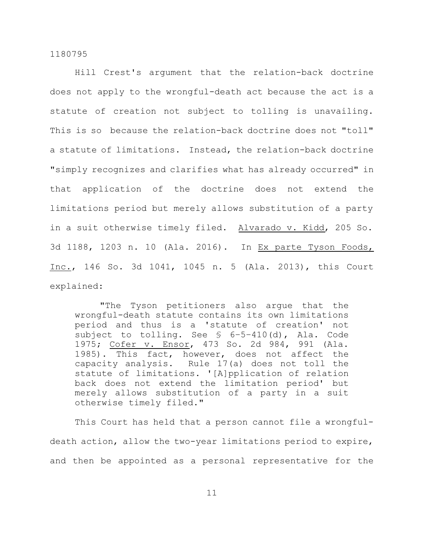Hill Crest's argument that the relation-back doctrine does not apply to the wrongful-death act because the act is a statute of creation not subject to tolling is unavailing. This is so because the relation-back doctrine does not "toll" a statute of limitations. Instead, the relation-back doctrine "simply recognizes and clarifies what has already occurred" in that application of the doctrine does not extend the limitations period but merely allows substitution of a party in a suit otherwise timely filed. Alvarado v. Kidd, 205 So. 3d 1188, 1203 n. 10 (Ala. 2016). In Ex parte Tyson Foods, Inc., 146 So. 3d 1041, 1045 n. 5 (Ala. 2013), this Court explained:

"The Tyson petitioners also argue that the wrongful-death statute contains its own limitations period and thus is a 'statute of creation' not subject to tolling. See § 6–5–410(d), Ala. Code 1975; Cofer v. Ensor, 473 So. 2d 984, 991 (Ala. 1985). This fact, however, does not affect the capacity analysis. Rule 17(a) does not toll the statute of limitations. '[A]pplication of relation back does not extend the limitation period' but merely allows substitution of a party in a suit otherwise timely filed."

This Court has held that a person cannot file a wrongfuldeath action, allow the two-year limitations period to expire, and then be appointed as a personal representative for the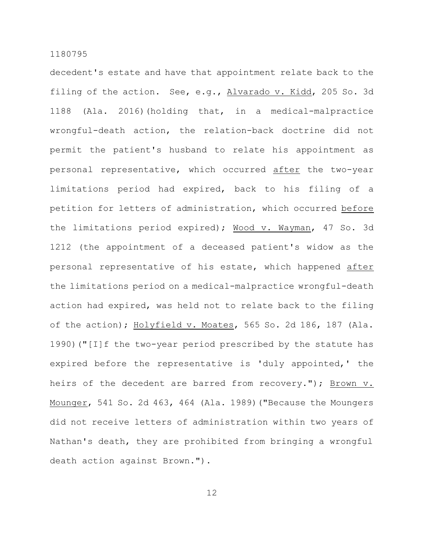decedent's estate and have that appointment relate back to the filing of the action. See, e.g., Alvarado v. Kidd, 205 So. 3d 1188 (Ala. 2016)(holding that, in a medical-malpractice wrongful-death action, the relation-back doctrine did not permit the patient's husband to relate his appointment as personal representative, which occurred after the two-year limitations period had expired, back to his filing of a petition for letters of administration, which occurred before the limitations period expired); Wood v. Wayman, 47 So. 3d 1212 (the appointment of a deceased patient's widow as the personal representative of his estate, which happened after the limitations period on a medical-malpractice wrongful-death action had expired, was held not to relate back to the filing of the action); Holyfield v. Moates, 565 So. 2d 186, 187 (Ala. 1990)("[I]f the two-year period prescribed by the statute has expired before the representative is 'duly appointed,' the heirs of the decedent are barred from recovery."); Brown v. Mounger, 541 So. 2d 463, 464 (Ala. 1989)("Because the Moungers did not receive letters of administration within two years of Nathan's death, they are prohibited from bringing a wrongful death action against Brown.").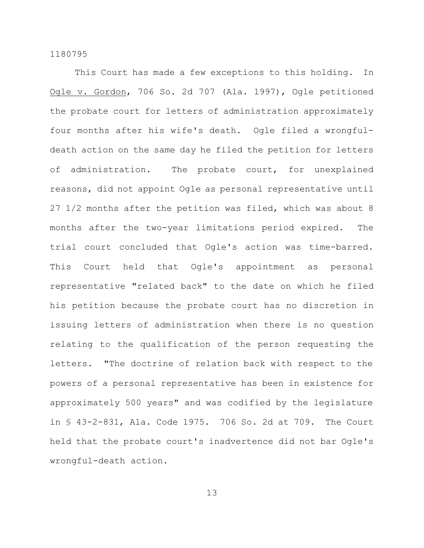This Court has made a few exceptions to this holding. In Ogle v. Gordon, 706 So. 2d 707 (Ala. 1997), Ogle petitioned the probate court for letters of administration approximately four months after his wife's death. Ogle filed a wrongfuldeath action on the same day he filed the petition for letters of administration. The probate court, for unexplained reasons, did not appoint Ogle as personal representative until 27 1/2 months after the petition was filed, which was about 8 months after the two-year limitations period expired. The trial court concluded that Ogle's action was time-barred. This Court held that Ogle's appointment as personal representative "related back" to the date on which he filed his petition because the probate court has no discretion in issuing letters of administration when there is no question relating to the qualification of the person requesting the letters. "The doctrine of relation back with respect to the powers of a personal representative has been in existence for approximately 500 years" and was codified by the legislature in § 43-2-831, Ala. Code 1975. 706 So. 2d at 709. The Court held that the probate court's inadvertence did not bar Ogle's wrongful-death action.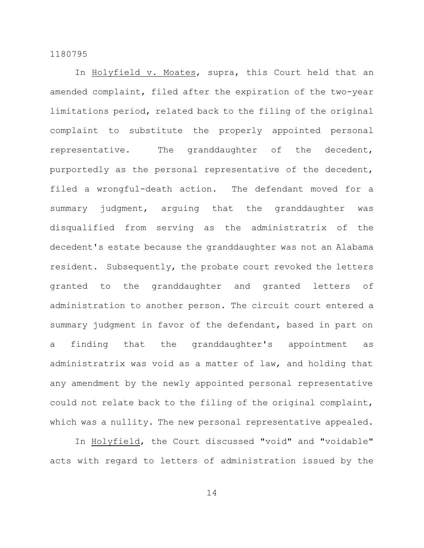In Holyfield v. Moates, supra, this Court held that an amended complaint, filed after the expiration of the two-year limitations period, related back to the filing of the original complaint to substitute the properly appointed personal representative. The granddaughter of the decedent, purportedly as the personal representative of the decedent, filed a wrongful-death action. The defendant moved for a summary judgment, arguing that the granddaughter was disqualified from serving as the administratrix of the decedent's estate because the granddaughter was not an Alabama resident. Subsequently, the probate court revoked the letters granted to the granddaughter and granted letters of administration to another person. The circuit court entered a summary judgment in favor of the defendant, based in part on a finding that the granddaughter's appointment as administratrix was void as a matter of law, and holding that any amendment by the newly appointed personal representative could not relate back to the filing of the original complaint, which was a nullity. The new personal representative appealed.

In Holyfield, the Court discussed "void" and "voidable" acts with regard to letters of administration issued by the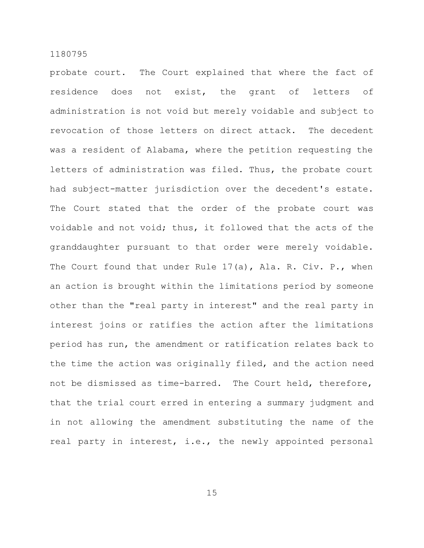probate court. The Court explained that where the fact of residence does not exist, the grant of letters of administration is not void but merely voidable and subject to revocation of those letters on direct attack. The decedent was a resident of Alabama, where the petition requesting the letters of administration was filed. Thus, the probate court had subject-matter jurisdiction over the decedent's estate. The Court stated that the order of the probate court was voidable and not void; thus, it followed that the acts of the granddaughter pursuant to that order were merely voidable. The Court found that under Rule 17(a), Ala. R. Civ. P., when an action is brought within the limitations period by someone other than the "real party in interest" and the real party in interest joins or ratifies the action after the limitations period has run, the amendment or ratification relates back to the time the action was originally filed, and the action need not be dismissed as time-barred. The Court held, therefore, that the trial court erred in entering a summary judgment and in not allowing the amendment substituting the name of the real party in interest, i.e., the newly appointed personal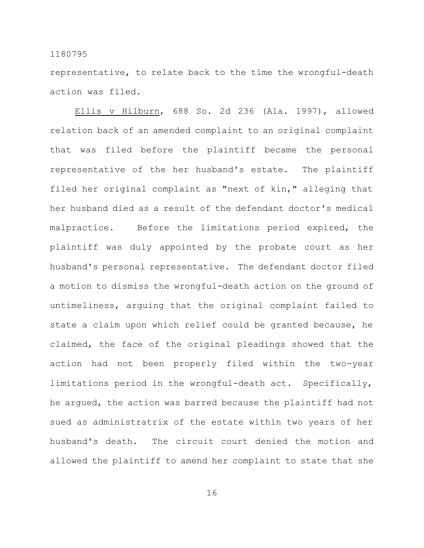representative, to relate back to the time the wrongful-death action was filed.

Ellis v Hilburn, 688 So. 2d 236 (Ala. 1997), allowed relation back of an amended complaint to an original complaint that was filed before the plaintiff became the personal representative of the her husband's estate. The plaintiff filed her original complaint as "next of kin," alleging that her husband died as a result of the defendant doctor's medical malpractice. Before the limitations period expired, the plaintiff was duly appointed by the probate court as her husband's personal representative. The defendant doctor filed a motion to dismiss the wrongful-death action on the ground of untimeliness, arguing that the original complaint failed to state a claim upon which relief could be granted because, he claimed, the face of the original pleadings showed that the action had not been properly filed within the two-year limitations period in the wrongful-death act. Specifically, he argued, the action was barred because the plaintiff had not sued as administratrix of the estate within two years of her husband's death. The circuit court denied the motion and allowed the plaintiff to amend her complaint to state that she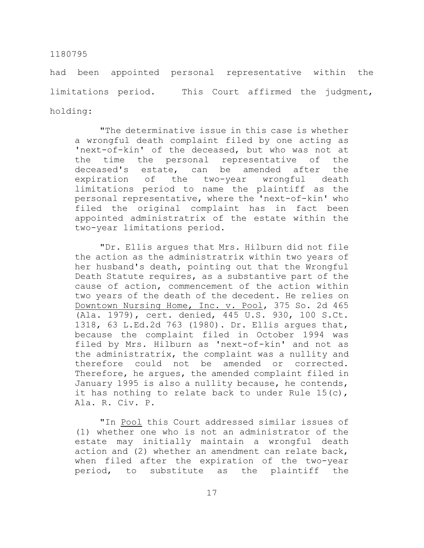had been appointed personal representative within the limitations period. This Court affirmed the judgment, holding:

"The determinative issue in this case is whether a wrongful death complaint filed by one acting as 'next-of-kin' of the deceased, but who was not at the time the personal representative of the deceased's estate, can be amended after the expiration of the two-year wrongful death limitations period to name the plaintiff as the personal representative, where the 'next-of-kin' who filed the original complaint has in fact been appointed administratrix of the estate within the two-year limitations period.

"Dr. Ellis argues that Mrs. Hilburn did not file the action as the administratrix within two years of her husband's death, pointing out that the Wrongful Death Statute requires, as a substantive part of the cause of action, commencement of the action within two years of the death of the decedent. He relies on Downtown Nursing Home, Inc. v. Pool, 375 So. 2d 465 (Ala. 1979), cert. denied, 445 U.S. 930, 100 S.Ct. 1318, 63 L.Ed.2d 763 (1980). Dr. Ellis argues that, because the complaint filed in October 1994 was filed by Mrs. Hilburn as 'next-of-kin' and not as the administratrix, the complaint was a nullity and therefore could not be amended or corrected. Therefore, he argues, the amended complaint filed in January 1995 is also a nullity because, he contends, it has nothing to relate back to under Rule 15(c), Ala. R. Civ. P.

"In Pool this Court addressed similar issues of (1) whether one who is not an administrator of the estate may initially maintain a wrongful death action and (2) whether an amendment can relate back, when filed after the expiration of the two-year period, to substitute as the plaintiff the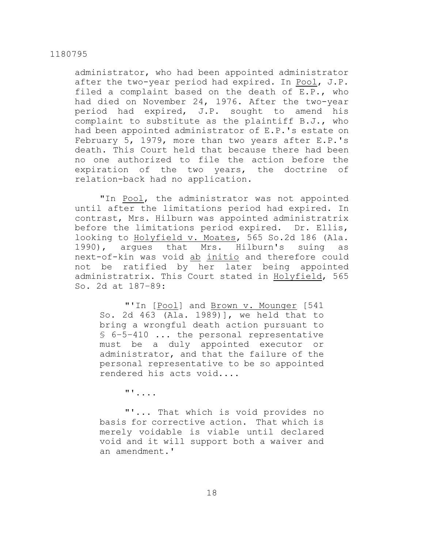administrator, who had been appointed administrator after the two-year period had expired. In Pool, J.P. filed a complaint based on the death of E.P., who had died on November 24, 1976. After the two-year period had expired, J.P. sought to amend his complaint to substitute as the plaintiff B.J., who had been appointed administrator of E.P.'s estate on February 5, 1979, more than two years after E.P.'s death. This Court held that because there had been no one authorized to file the action before the expiration of the two years, the doctrine of relation-back had no application.

"In Pool, the administrator was not appointed until after the limitations period had expired. In contrast, Mrs. Hilburn was appointed administratrix before the limitations period expired. Dr. Ellis, looking to Holyfield v. Moates, 565 So.2d 186 (Ala. 1990), argues that Mrs. Hilburn's suing as next-of-kin was void ab initio and therefore could not be ratified by her later being appointed administratrix. This Court stated in Holyfield, 565 So. 2d at 187–89:

"'In [Pool] and Brown v. Mounger [541 So. 2d 463 (Ala. 1989)], we held that to bring a wrongful death action pursuant to § 6–5–410 ... the personal representative must be a duly appointed executor or administrator, and that the failure of the personal representative to be so appointed rendered his acts void....

"'....

"'... That which is void provides no basis for corrective action. That which is merely voidable is viable until declared void and it will support both a waiver and an amendment.'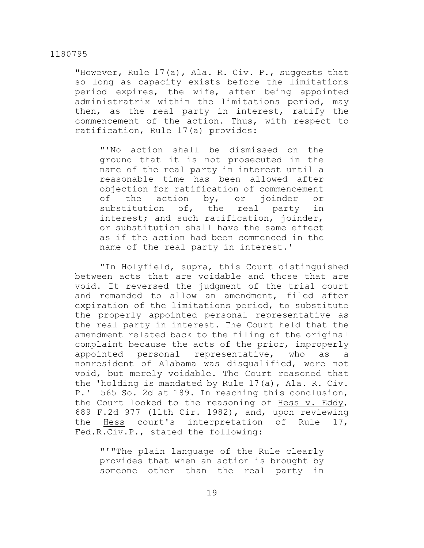"However, Rule 17(a), Ala. R. Civ. P., suggests that so long as capacity exists before the limitations period expires, the wife, after being appointed administratrix within the limitations period, may then, as the real party in interest, ratify the commencement of the action. Thus, with respect to ratification, Rule 17(a) provides:

"'No action shall be dismissed on the ground that it is not prosecuted in the name of the real party in interest until a reasonable time has been allowed after objection for ratification of commencement of the action by, or joinder or substitution of, the real party in interest; and such ratification, joinder, or substitution shall have the same effect as if the action had been commenced in the name of the real party in interest.'

"In Holyfield, supra, this Court distinguished between acts that are voidable and those that are void. It reversed the judgment of the trial court and remanded to allow an amendment, filed after expiration of the limitations period, to substitute the properly appointed personal representative as the real party in interest. The Court held that the amendment related back to the filing of the original complaint because the acts of the prior, improperly appointed personal representative, who as a nonresident of Alabama was disqualified, were not void, but merely voidable. The Court reasoned that the 'holding is mandated by Rule 17(a), Ala. R. Civ. P.' 565 So. 2d at 189. In reaching this conclusion, the Court looked to the reasoning of Hess v. Eddy, 689 F.2d 977 (11th Cir. 1982), and, upon reviewing the Hess court's interpretation of Rule 17, Fed.R.Civ.P., stated the following:

"'"The plain language of the Rule clearly provides that when an action is brought by someone other than the real party in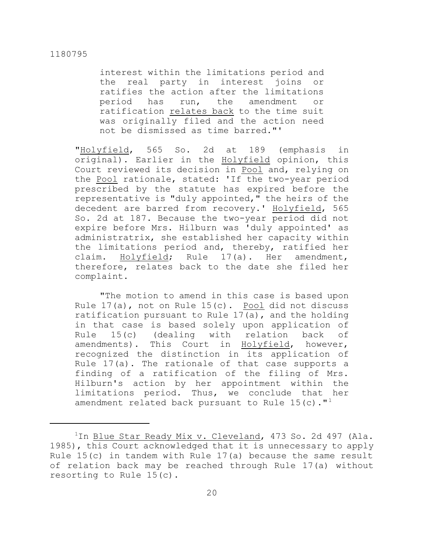interest within the limitations period and the real party in interest joins or ratifies the action after the limitations period has run, the amendment or ratification relates back to the time suit was originally filed and the action need not be dismissed as time barred."'

"Holyfield, 565 So. 2d at 189 (emphasis in original). Earlier in the Holyfield opinion, this Court reviewed its decision in Pool and, relying on the Pool rationale, stated: 'If the two-year period prescribed by the statute has expired before the representative is "duly appointed," the heirs of the decedent are barred from recovery.' Holyfield, 565 So. 2d at 187. Because the two-year period did not expire before Mrs. Hilburn was 'duly appointed' as administratrix, she established her capacity within the limitations period and, thereby, ratified her claim. Holyfield; Rule 17(a). Her amendment, therefore, relates back to the date she filed her complaint.

"The motion to amend in this case is based upon Rule 17(a), not on Rule 15(c). Pool did not discuss ratification pursuant to Rule 17(a), and the holding in that case is based solely upon application of Rule 15(c) (dealing with relation back of amendments). This Court in Holyfield, however, recognized the distinction in its application of Rule 17(a). The rationale of that case supports a finding of a ratification of the filing of Mrs. Hilburn's action by her appointment within the limitations period. Thus, we conclude that her amendment related back pursuant to Rule  $15(c)$ ."<sup>1</sup>

 $1$ In Blue Star Ready Mix v. Cleveland, 473 So. 2d 497 (Ala. 1985), this Court acknowledged that it is unnecessary to apply Rule 15(c) in tandem with Rule 17(a) because the same result of relation back may be reached through Rule 17(a) without resorting to Rule 15(c).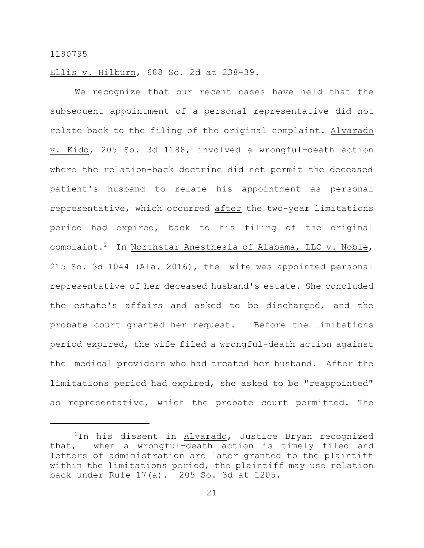Ellis v. Hilburn, 688 So. 2d at 238–39.

We recognize that our recent cases have held that the subsequent appointment of a personal representative did not relate back to the filing of the original complaint. Alvarado v. Kidd, 205 So. 3d 1188, involved a wrongful-death action where the relation-back doctrine did not permit the deceased patient's husband to relate his appointment as personal representative, which occurred after the two-year limitations period had expired, back to his filing of the original complaint.<sup>2</sup> In Northstar Anesthesia of Alabama, LLC v. Noble, 215 So. 3d 1044 (Ala. 2016), the wife was appointed personal representative of her deceased husband's estate. She concluded the estate's affairs and asked to be discharged, and the probate court granted her request. Before the limitations period expired, the wife filed a wrongful-death action against the medical providers who had treated her husband. After the limitations period had expired, she asked to be "reappointed" as representative, which the probate court permitted. The

 $2$ In his dissent in Alvarado, Justice Bryan recognized that, when a wrongful-death action is timely filed and letters of administration are later granted to the plaintiff within the limitations period, the plaintiff may use relation back under Rule 17(a). 205 So. 3d at 1205.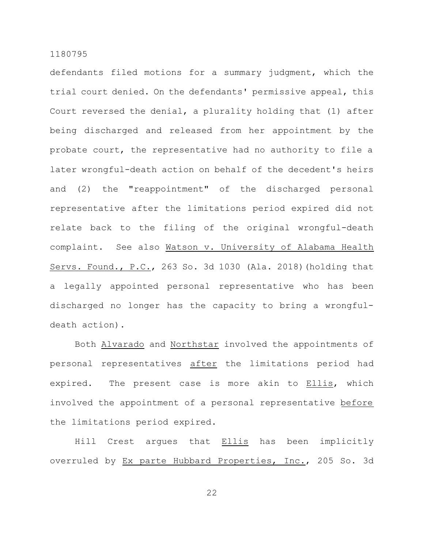defendants filed motions for a summary judgment, which the trial court denied. On the defendants' permissive appeal, this Court reversed the denial, a plurality holding that (1) after being discharged and released from her appointment by the probate court, the representative had no authority to file a later wrongful-death action on behalf of the decedent's heirs and (2) the "reappointment" of the discharged personal representative after the limitations period expired did not relate back to the filing of the original wrongful-death complaint. See also Watson v. University of Alabama Health Servs. Found., P.C., 263 So. 3d 1030 (Ala. 2018)(holding that a legally appointed personal representative who has been discharged no longer has the capacity to bring a wrongfuldeath action).

Both Alvarado and Northstar involved the appointments of personal representatives after the limitations period had expired. The present case is more akin to Ellis, which involved the appointment of a personal representative before the limitations period expired.

Hill Crest argues that Ellis has been implicitly overruled by Ex parte Hubbard Properties, Inc., 205 So. 3d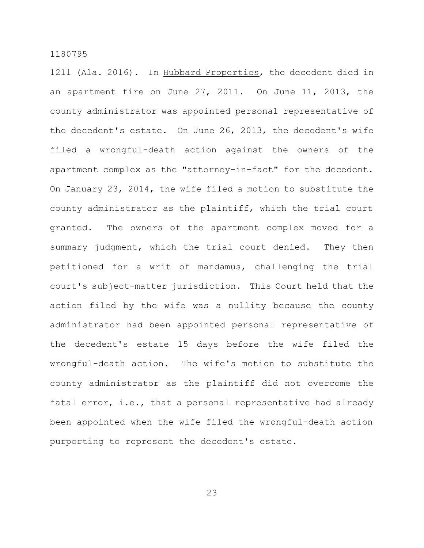1211 (Ala. 2016). In Hubbard Properties, the decedent died in an apartment fire on June 27, 2011. On June 11, 2013, the county administrator was appointed personal representative of the decedent's estate. On June 26, 2013, the decedent's wife filed a wrongful-death action against the owners of the apartment complex as the "attorney-in-fact" for the decedent. On January 23, 2014, the wife filed a motion to substitute the county administrator as the plaintiff, which the trial court granted. The owners of the apartment complex moved for a summary judgment, which the trial court denied. They then petitioned for a writ of mandamus, challenging the trial court's subject-matter jurisdiction. This Court held that the action filed by the wife was a nullity because the county administrator had been appointed personal representative of the decedent's estate 15 days before the wife filed the wrongful-death action. The wife's motion to substitute the county administrator as the plaintiff did not overcome the fatal error, i.e., that a personal representative had already been appointed when the wife filed the wrongful-death action purporting to represent the decedent's estate.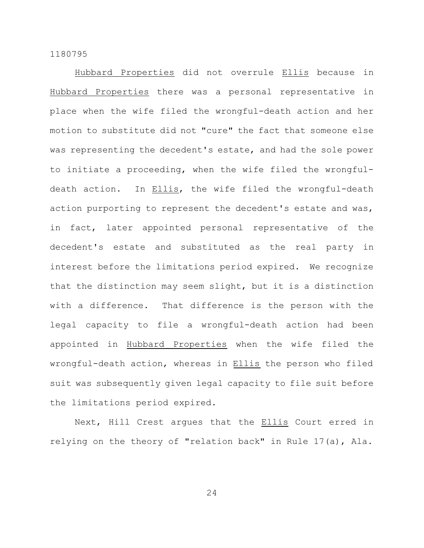Hubbard Properties did not overrule Ellis because in Hubbard Properties there was a personal representative in place when the wife filed the wrongful-death action and her motion to substitute did not "cure" the fact that someone else was representing the decedent's estate, and had the sole power to initiate a proceeding, when the wife filed the wrongfuldeath action. In Ellis, the wife filed the wrongful-death action purporting to represent the decedent's estate and was, in fact, later appointed personal representative of the decedent's estate and substituted as the real party in interest before the limitations period expired. We recognize that the distinction may seem slight, but it is a distinction with a difference. That difference is the person with the legal capacity to file a wrongful-death action had been appointed in Hubbard Properties when the wife filed the wrongful-death action, whereas in Ellis the person who filed suit was subsequently given legal capacity to file suit before the limitations period expired.

Next, Hill Crest argues that the **Ellis** Court erred in relying on the theory of "relation back" in Rule 17(a), Ala.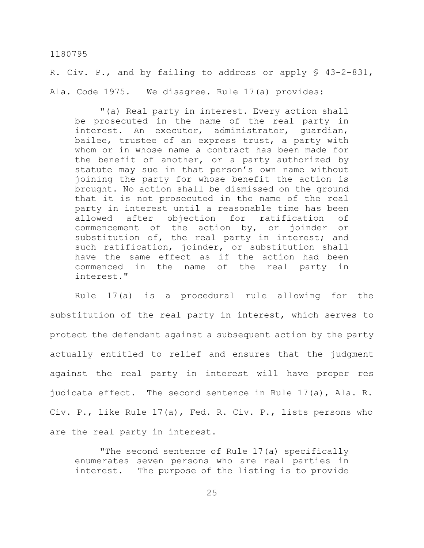R. Civ. P., and by failing to address or apply § 43-2-831, Ala. Code 1975. We disagree. Rule 17(a) provides:

"(a) Real party in interest. Every action shall be prosecuted in the name of the real party in interest. An executor, administrator, guardian, bailee, trustee of an express trust, a party with whom or in whose name a contract has been made for the benefit of another, or a party authorized by statute may sue in that person's own name without joining the party for whose benefit the action is brought. No action shall be dismissed on the ground that it is not prosecuted in the name of the real party in interest until a reasonable time has been allowed after objection for ratification of commencement of the action by, or joinder or substitution of, the real party in interest; and such ratification, joinder, or substitution shall have the same effect as if the action had been commenced in the name of the real party in interest."

Rule 17(a) is a procedural rule allowing for the substitution of the real party in interest, which serves to protect the defendant against a subsequent action by the party actually entitled to relief and ensures that the judgment against the real party in interest will have proper res judicata effect. The second sentence in Rule 17(a), Ala. R. Civ. P., like Rule 17(a), Fed. R. Civ. P., lists persons who are the real party in interest.

"The second sentence of Rule 17(a) specifically enumerates seven persons who are real parties in interest. The purpose of the listing is to provide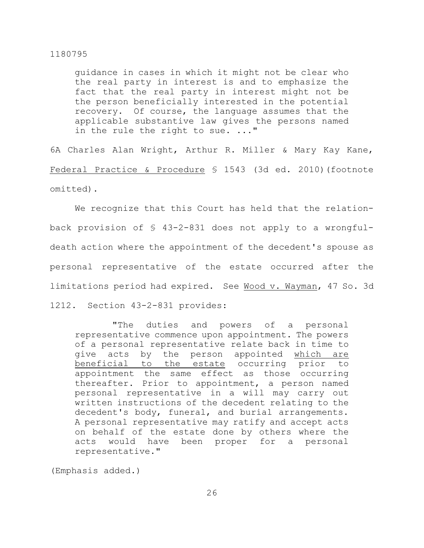guidance in cases in which it might not be clear who the real party in interest is and to emphasize the fact that the real party in interest might not be the person beneficially interested in the potential recovery. Of course, the language assumes that the applicable substantive law gives the persons named in the rule the right to sue. ..."

6A Charles Alan Wright, Arthur R. Miller & Mary Kay Kane, Federal Practice & Procedure § 1543 (3d ed. 2010)(footnote omitted).

We recognize that this Court has held that the relationback provision of § 43-2-831 does not apply to a wrongfuldeath action where the appointment of the decedent's spouse as personal representative of the estate occurred after the limitations period had expired. See Wood v. Wayman, 47 So. 3d

1212. Section 43-2-831 provides:

"The duties and powers of a personal representative commence upon appointment. The powers of a personal representative relate back in time to give acts by the person appointed which are beneficial to the estate occurring prior to appointment the same effect as those occurring thereafter. Prior to appointment, a person named personal representative in a will may carry out written instructions of the decedent relating to the decedent's body, funeral, and burial arrangements. A personal representative may ratify and accept acts on behalf of the estate done by others where the acts would have been proper for a personal representative."

(Emphasis added.)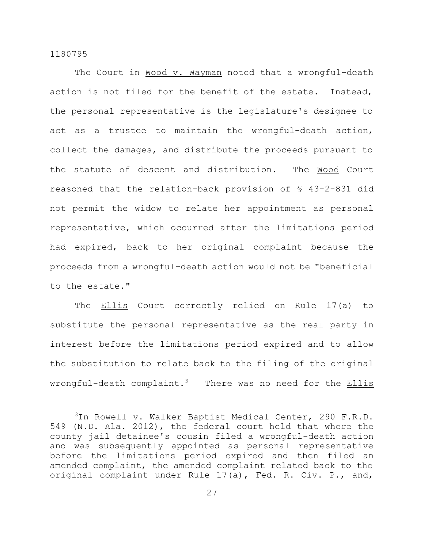The Court in Wood v. Wayman noted that a wrongful-death action is not filed for the benefit of the estate. Instead, the personal representative is the legislature's designee to act as a trustee to maintain the wrongful-death action, collect the damages, and distribute the proceeds pursuant to the statute of descent and distribution. The Wood Court reasoned that the relation-back provision of § 43-2-831 did not permit the widow to relate her appointment as personal representative, which occurred after the limitations period had expired, back to her original complaint because the proceeds from a wrongful-death action would not be "beneficial to the estate."

The **Ellis** Court correctly relied on Rule 17(a) to substitute the personal representative as the real party in interest before the limitations period expired and to allow the substitution to relate back to the filing of the original wrongful-death complaint.<sup>3</sup> There was no need for the Ellis

<sup>&</sup>lt;sup>3</sup>In <u>Rowell v. Walker Baptist Medical Center</u>, 290 F.R.D. 549 (N.D. Ala. 2012), the federal court held that where the county jail detainee's cousin filed a wrongful-death action and was subsequently appointed as personal representative before the limitations period expired and then filed an amended complaint, the amended complaint related back to the original complaint under Rule 17(a), Fed. R. Civ. P., and,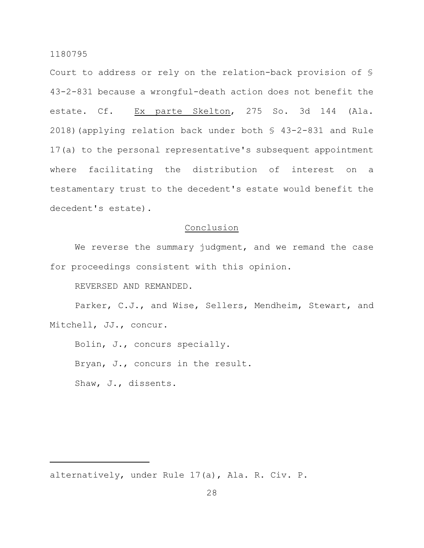Court to address or rely on the relation-back provision of § 43-2-831 because a wrongful-death action does not benefit the estate. Cf. Ex parte Skelton, 275 So. 3d 144 (Ala. 2018)(applying relation back under both § 43-2-831 and Rule 17(a) to the personal representative's subsequent appointment where facilitating the distribution of interest on a testamentary trust to the decedent's estate would benefit the decedent's estate).

# **Conclusion**

We reverse the summary judgment, and we remand the case for proceedings consistent with this opinion.

REVERSED AND REMANDED.

Parker, C.J., and Wise, Sellers, Mendheim, Stewart, and Mitchell, JJ., concur.

Bolin, J., concurs specially.

Bryan, J., concurs in the result.

Shaw, J., dissents.

alternatively, under Rule 17(a), Ala. R. Civ. P.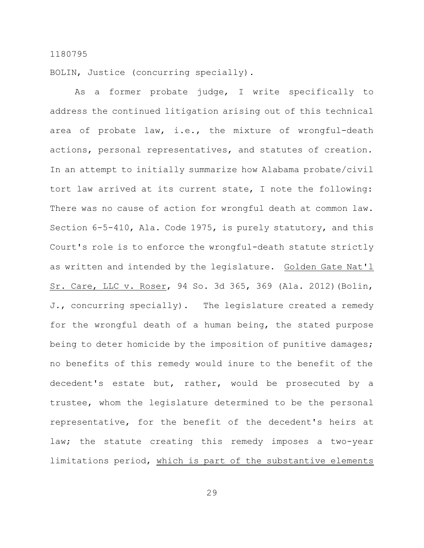BOLIN, Justice (concurring specially).

As a former probate judge, I write specifically to address the continued litigation arising out of this technical area of probate law, i.e., the mixture of wrongful-death actions, personal representatives, and statutes of creation. In an attempt to initially summarize how Alabama probate/civil tort law arrived at its current state, I note the following: There was no cause of action for wrongful death at common law. Section 6-5-410, Ala. Code 1975, is purely statutory, and this Court's role is to enforce the wrongful-death statute strictly as written and intended by the legislature. Golden Gate Nat'l Sr. Care, LLC v. Roser, 94 So. 3d 365, 369 (Ala. 2012)(Bolin, J., concurring specially). The legislature created a remedy for the wrongful death of a human being, the stated purpose being to deter homicide by the imposition of punitive damages; no benefits of this remedy would inure to the benefit of the decedent's estate but, rather, would be prosecuted by a trustee, whom the legislature determined to be the personal representative, for the benefit of the decedent's heirs at law; the statute creating this remedy imposes a two-year limitations period, which is part of the substantive elements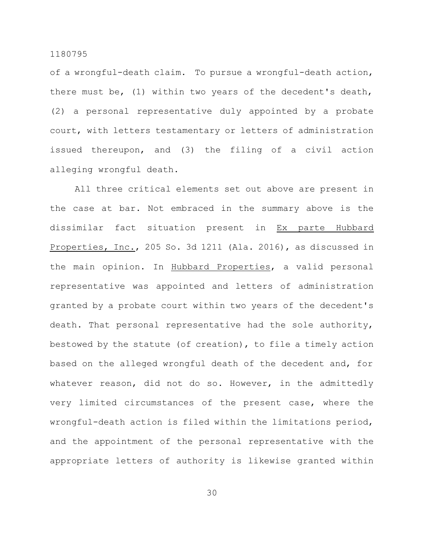of a wrongful-death claim. To pursue a wrongful-death action, there must be, (1) within two years of the decedent's death, (2) a personal representative duly appointed by a probate court, with letters testamentary or letters of administration issued thereupon, and (3) the filing of a civil action alleging wrongful death.

All three critical elements set out above are present in the case at bar. Not embraced in the summary above is the dissimilar fact situation present in Ex parte Hubbard Properties, Inc., 205 So. 3d 1211 (Ala. 2016), as discussed in the main opinion. In Hubbard Properties, a valid personal representative was appointed and letters of administration granted by a probate court within two years of the decedent's death. That personal representative had the sole authority, bestowed by the statute (of creation), to file a timely action based on the alleged wrongful death of the decedent and, for whatever reason, did not do so. However, in the admittedly very limited circumstances of the present case, where the wrongful-death action is filed within the limitations period, and the appointment of the personal representative with the appropriate letters of authority is likewise granted within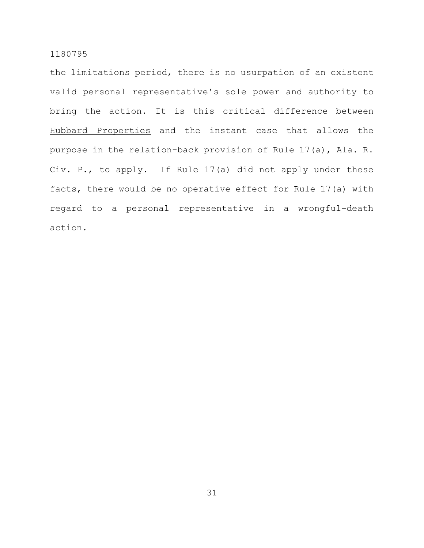the limitations period, there is no usurpation of an existent valid personal representative's sole power and authority to bring the action. It is this critical difference between Hubbard Properties and the instant case that allows the purpose in the relation-back provision of Rule 17(a), Ala. R. Civ. P., to apply. If Rule 17(a) did not apply under these facts, there would be no operative effect for Rule 17(a) with regard to a personal representative in a wrongful-death action.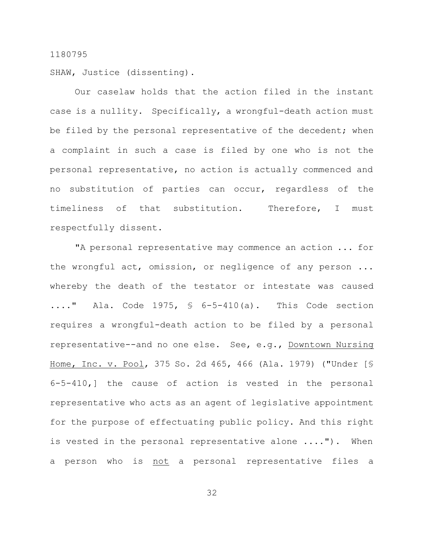SHAW, Justice (dissenting).

Our caselaw holds that the action filed in the instant case is a nullity. Specifically, a wrongful-death action must be filed by the personal representative of the decedent; when a complaint in such a case is filed by one who is not the personal representative, no action is actually commenced and no substitution of parties can occur, regardless of the timeliness of that substitution. Therefore, I must respectfully dissent.

"A personal representative may commence an action ... for the wrongful act, omission, or negligence of any person ... whereby the death of the testator or intestate was caused  $\ldots$ ." Ala. Code 1975, § 6-5-410(a). This Code section requires a wrongful-death action to be filed by a personal representative--and no one else. See, e.g., Downtown Nursing Home, Inc. v. Pool, 375 So. 2d 465, 466 (Ala. 1979) ("Under [§ 6-5-410,] the cause of action is vested in the personal representative who acts as an agent of legislative appointment for the purpose of effectuating public policy. And this right is vested in the personal representative alone ...."). When a person who is not a personal representative files a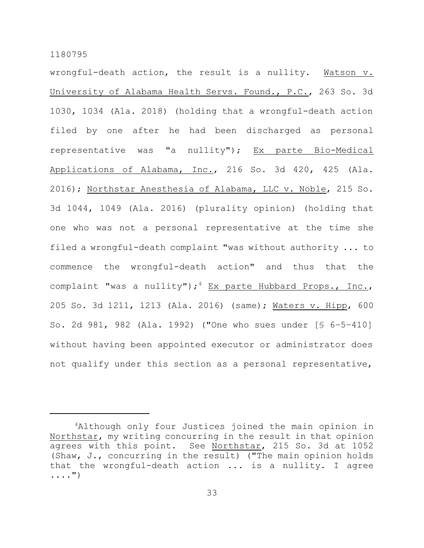wrongful-death action, the result is a nullity. Watson v. University of Alabama Health Servs. Found., P.C., 263 So. 3d 1030, 1034 (Ala. 2018) (holding that a wrongful-death action filed by one after he had been discharged as personal representative was "a nullity"); Ex parte Bio-Medical Applications of Alabama, Inc., 216 So. 3d 420, 425 (Ala. 2016); Northstar Anesthesia of Alabama, LLC v. Noble, 215 So. 3d 1044, 1049 (Ala. 2016) (plurality opinion) (holding that one who was not a personal representative at the time she filed a wrongful-death complaint "was without authority ... to commence the wrongful-death action" and thus that the complaint "was a nullity");  $4$  Ex parte Hubbard Props., Inc., 205 So. 3d 1211, 1213 (Ala. 2016) (same); Waters v. Hipp, 600 So. 2d 981, 982 (Ala. 1992) ("One who sues under [§ 6–5–410] without having been appointed executor or administrator does not qualify under this section as a personal representative,

<sup>&</sup>lt;sup>4</sup>Although only four Justices joined the main opinion in Northstar, my writing concurring in the result in that opinion agrees with this point. See Northstar, 215 So. 3d at 1052 (Shaw, J., concurring in the result) ("The main opinion holds that the wrongful-death action ... is a nullity. I agree ....")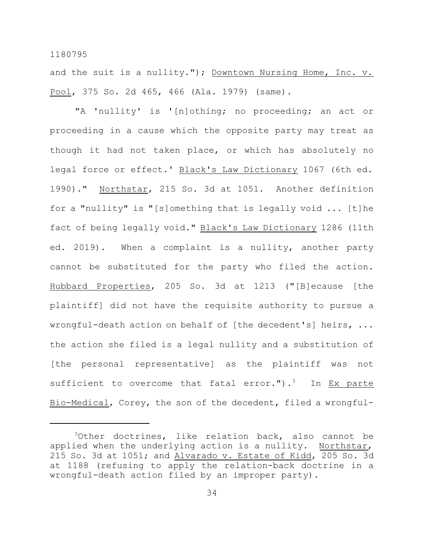and the suit is a nullity."); Downtown Nursing Home, Inc. v. Pool, 375 So. 2d 465, 466 (Ala. 1979) (same).

"A 'nullity' is '[n]othing; no proceeding; an act or proceeding in a cause which the opposite party may treat as though it had not taken place, or which has absolutely no legal force or effect.' Black's Law Dictionary 1067 (6th ed. 1990)." Northstar, 215 So. 3d at 1051. Another definition for a "nullity" is "[s]omething that is legally void ... [t]he fact of being legally void." Black's Law Dictionary 1286 (11th ed. 2019). When a complaint is a nullity, another party cannot be substituted for the party who filed the action. Hubbard Properties, 205 So. 3d at 1213 ("[B]ecause [the plaintiff] did not have the requisite authority to pursue a wrongful-death action on behalf of [the decedent's] heirs, ... the action she filed is a legal nullity and a substitution of [the personal representative] as the plaintiff was not sufficient to overcome that fatal error."). $5$  In Ex parte Bio-Medical, Corey, the son of the decedent, filed a wrongful-

 $5$ Other doctrines, like relation back, also cannot be applied when the underlying action is a nullity. Northstar, 215 So. 3d at 1051; and Alvarado v. Estate of Kidd, 205 So. 3d at 1188 (refusing to apply the relation-back doctrine in a wrongful-death action filed by an improper party).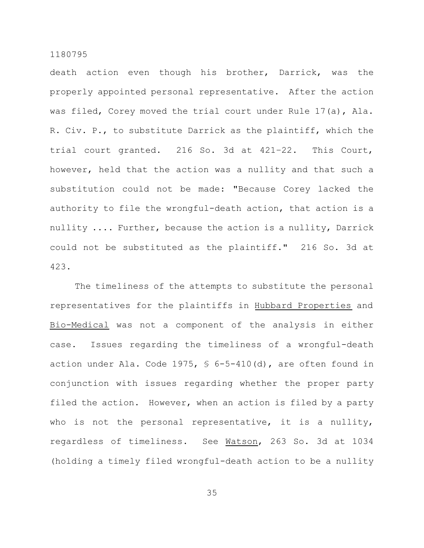death action even though his brother, Darrick, was the properly appointed personal representative. After the action was filed, Corey moved the trial court under Rule 17(a), Ala. R. Civ. P., to substitute Darrick as the plaintiff, which the trial court granted. 216 So. 3d at 421–22. This Court, however, held that the action was a nullity and that such a substitution could not be made: "Because Corey lacked the authority to file the wrongful-death action, that action is a nullity .... Further, because the action is a nullity, Darrick could not be substituted as the plaintiff." 216 So. 3d at 423.

The timeliness of the attempts to substitute the personal representatives for the plaintiffs in Hubbard Properties and Bio-Medical was not a component of the analysis in either case. Issues regarding the timeliness of a wrongful-death action under Ala. Code 1975, § 6-5-410(d), are often found in conjunction with issues regarding whether the proper party filed the action. However, when an action is filed by a party who is not the personal representative, it is a nullity, regardless of timeliness. See Watson, 263 So. 3d at 1034 (holding a timely filed wrongful-death action to be a nullity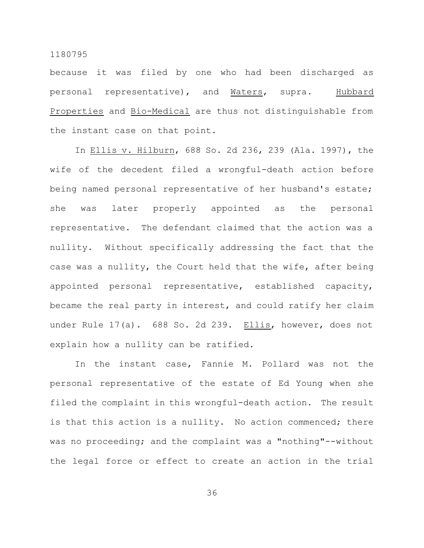because it was filed by one who had been discharged as personal representative), and Waters, supra. Hubbard Properties and Bio-Medical are thus not distinguishable from the instant case on that point.

In Ellis v. Hilburn, 688 So. 2d 236, 239 (Ala. 1997), the wife of the decedent filed a wrongful-death action before being named personal representative of her husband's estate; she was later properly appointed as the personal representative. The defendant claimed that the action was a nullity. Without specifically addressing the fact that the case was a nullity, the Court held that the wife, after being appointed personal representative, established capacity, became the real party in interest, and could ratify her claim under Rule 17(a). 688 So. 2d 239. Ellis, however, does not explain how a nullity can be ratified.

In the instant case, Fannie M. Pollard was not the personal representative of the estate of Ed Young when she filed the complaint in this wrongful-death action. The result is that this action is a nullity. No action commenced; there was no proceeding; and the complaint was a "nothing"--without the legal force or effect to create an action in the trial